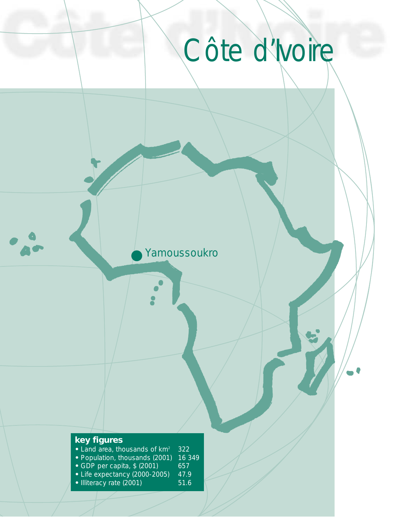Yamoussoukro

# **key figures**

- Land area, thousands of km<sup>2</sup> 322<br>• Population, thousands (2001) 16 349
- Population, thousands (2001) 16 3<br>• GDP per capita, \$ (2001) 657
- GDP per capita, \$ (2001) 657
- Life expectancy (2000-2005) 47.9
- Illiteracy rate (2001) 51.6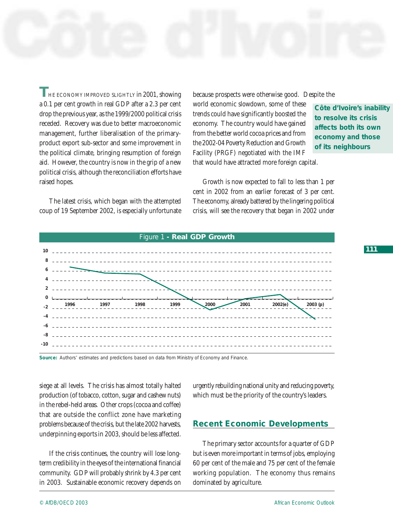**T**HE ECONOMY IMPROVED SLIGHTLY in 2001, showing a 0.1 per cent growth in real GDP after a 2.3 per cent drop the previous year, as the 1999/2000 political crisis receded. Recovery was due to better macroeconomic management, further liberalisation of the primaryproduct export sub-sector and some improvement in the political climate, bringing resumption of foreign aid. However, the country is now in the grip of a new political crisis, although the reconciliation efforts have raised hopes.

The latest crisis, which began with the attempted coup of 19 September 2002, is especially unfortunate because prospects were otherwise good. Despite the

world economic slowdown, some of these trends could have significantly boosted the economy. The country would have gained from the better world cocoa prices and from the 2002-04 Poverty Reduction and Growth Facility (PRGF) negotiated with the IMF that would have attracted more foreign capital.

**Côte d'Ivoire's inability to resolve its crisis affects both its own economy and those of its neighbours**

Growth is now expected to fall to less than 1 per cent in 2002 from an earlier forecast of 3 per cent. The economy, already battered by the lingering political crisis, will see the recovery that began in 2002 under



**Source:** Authors' estimates and predictions based on data from Ministry of Economy and Finance.

siege at all levels. The crisis has almost totally halted production (of tobacco, cotton, sugar and cashew nuts) in the rebel-held areas. Other crops (cocoa and coffee) that are outside the conflict zone have marketing problems because of the crisis, but the late 2002 harvests, underpinning exports in 2003, should be less affected.

If the crisis continues, the country will lose longterm credibility in the eyes of the international financial community. GDP will probably shrink by 4.3 per cent in 2003. Sustainable economic recovery depends on

urgently rebuilding national unity and reducing poverty, which must be the priority of the country's leaders.

### **Recent Economic Developments**

The primary sector accounts for a quarter of GDP but is even more important in terms of jobs, employing 60 per cent of the male and 75 per cent of the female working population. The economy thus remains dominated by agriculture.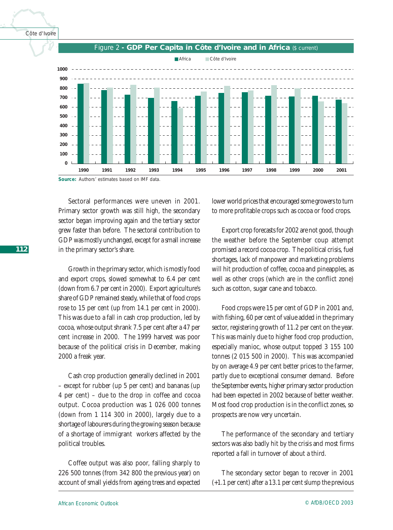

**Source:** Authors' estimates based on IMF data.

Sectoral performances were uneven in 2001. Primary sector growth was still high, the secondary sector began improving again and the tertiary sector grew faster than before. The sectoral contribution to GDP was mostly unchanged, except for a small increase in the primary sector's share.

Growth in the primary sector, which is mostly food and export crops, slowed somewhat to 6.4 per cent (down from 6.7 per cent in 2000). Export agriculture's share of GDP remained steady, while that of food crops rose to 15 per cent (up from 14.1 per cent in 2000). This was due to a fall in cash crop production, led by cocoa, whose output shrank 7.5 per cent after a 47 per cent increase in 2000. The 1999 harvest was poor because of the political crisis in December, making 2000 a freak year.

Cash crop production generally declined in 2001 – except for rubber (up 5 per cent) and bananas (up 4 per cent) – due to the drop in coffee and cocoa output. Cocoa production was 1 026 000 tonnes (down from 1 114 300 in 2000), largely due to a shortage of labourers during the growing season because of a shortage of immigrant workers affected by the political troubles.

Coffee output was also poor, falling sharply to 226 500 tonnes (from 342 800 the previous year) on account of small yields from ageing trees and expected lower world prices that encouraged some growers to turn to more profitable crops such as cocoa or food crops.

Export crop forecasts for 2002 are not good, though the weather before the September coup attempt promised a record cocoa crop. The political crisis, fuel shortages, lack of manpower and marketing problems will hit production of coffee, cocoa and pineapples, as well as other crops (which are in the conflict zone) such as cotton, sugar cane and tobacco.

Food crops were 15 per cent of GDP in 2001 and, with fishing, 60 per cent of value added in the primary sector, registering growth of 11.2 per cent on the year. This was mainly due to higher food crop production, especially manioc, whose output topped 3 155 100 tonnes (2 015 500 in 2000). This was accompanied by on average 4.9 per cent better prices to the farmer, partly due to exceptional consumer demand. Before the September events, higher primary sector production had been expected in 2002 because of better weather. Most food crop production is in the conflict zones, so prospects are now very uncertain.

The performance of the secondary and tertiary sectors was also badly hit by the crisis and most firms reported a fall in turnover of about a third.

The secondary sector began to recover in 2001 (+1.1 per cent) after a 13.1 per cent slump the previous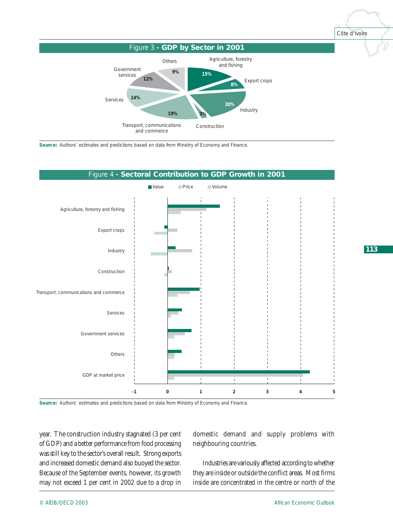

**Source:** Authors' estimates and predictions based on data from Ministry of Economy and Finance.



**Source:** Authors' estimates and predictions based on data from Ministry of Economy and Finance.

year. The construction industry stagnated (3 per cent of GDP) and a better performance from food processing was still key to the sector's overall result. Strong exports and increased domestic demand also buoyed the sector. Because of the September events, however, its growth may not exceed 1 per cent in 2002 due to a drop in

domestic demand and supply problems with neighbouring countries.

Industries are variously affected according to whether they are inside or outside the conflict areas. Most firms inside are concentrated in the centre or north of the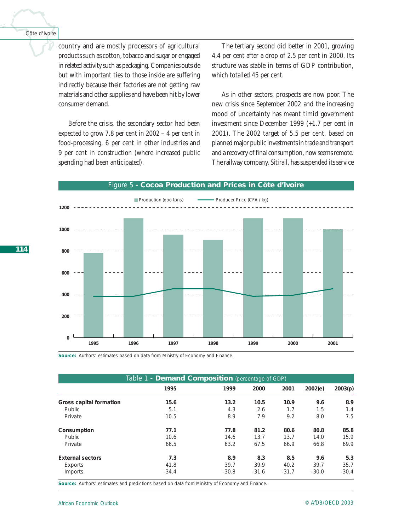country and are mostly processors of agricultural products such as cotton, tobacco and sugar or engaged in related activity such as packaging. Companies outside but with important ties to those inside are suffering indirectly because their factories are not getting raw materials and other supplies and have been hit by lower consumer demand.

Before the crisis, the secondary sector had been expected to grow 7.8 per cent in 2002 – 4 per cent in food-processing, 6 per cent in other industries and 9 per cent in construction (where increased public spending had been anticipated).

The tertiary second did better in 2001, growing 4.4 per cent after a drop of 2.5 per cent in 2000. Its structure was stable in terms of GDP contribution, which totalled 45 per cent.

As in other sectors, prospects are now poor. The new crisis since September 2002 and the increasing mood of uncertainty has meant timid government investment since December 1999 (+1.7 per cent in 2001). The 2002 target of 5.5 per cent, based on planned major public investments in trade and transport and a recovery of final consumption, now seems remote. The railway company, Sitirail, has suspended its service

#### Figure 5 **- Cocoa Production and Prices in Côte d'Ivoire**



**Source:** Authors' estimates based on data from Ministry of Economy and Finance.

| Table 1 - <b>Demand Composition</b> (percentage of GDP) |         |         |         |         |         |         |  |
|---------------------------------------------------------|---------|---------|---------|---------|---------|---------|--|
|                                                         | 1995    | 1999    | 2000    | 2001    | 2002(e) | 2003(p) |  |
| Gross capital formation                                 | 15.6    | 13.2    | 10.5    | 10.9    | 9.6     | 8.9     |  |
| Public                                                  | 5.1     | 4.3     | 2.6     | 1.7     | 1.5     | 1.4     |  |
| Private                                                 | 10.5    | 8.9     | 7.9     | 9.2     | 8.0     | 7.5     |  |
| Consumption                                             | 77.1    | 77.8    | 81.2    | 80.6    | 80.8    | 85.8    |  |
| Public                                                  | 10.6    | 14.6    | 13.7    | 13.7    | 14.0    | 15.9    |  |
| Private                                                 | 66.5    | 63.2    | 67.5    | 66.9    | 66.8    | 69.9    |  |
| <b>External sectors</b>                                 | 7.3     | 8.9     | 8.3     | 8.5     | 9.6     | 5.3     |  |
| Exports                                                 | 41.8    | 39.7    | 39.9    | 40.2    | 39.7    | 35.7    |  |
| Imports                                                 | $-34.4$ | $-30.8$ | $-31.6$ | $-31.7$ | $-30.0$ | $-30.4$ |  |

**Source:** Authors' estimates and predictions based on data from Ministry of Economy and Finance.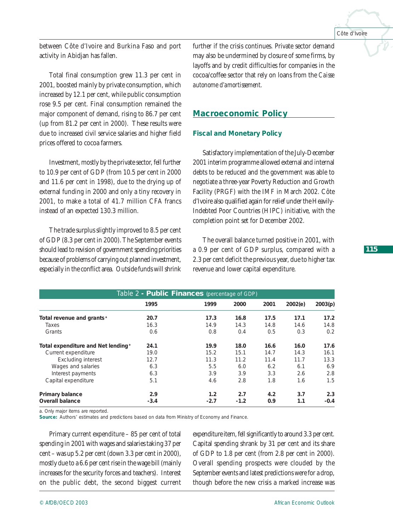between Côte d'Ivoire and Burkina Faso and port activity in Abidjan has fallen.

Total final consumption grew 11.3 per cent in 2001, boosted mainly by private consumption, which increased by 12.1 per cent, while public consumption rose 9.5 per cent. Final consumption remained the major component of demand, rising to 86.7 per cent (up from 81.2 per cent in 2000). These results were due to increased civil service salaries and higher field prices offered to cocoa farmers.

Investment, mostly by the private sector, fell further to 10.9 per cent of GDP (from 10.5 per cent in 2000 and 11.6 per cent in 1998), due to the drying up of external funding in 2000 and only a tiny recovery in 2001, to make a total of 41.7 million CFA francs instead of an expected 130.3 million.

The trade surplus slightly improved to 8.5 per cent of GDP (8.3 per cent in 2000). The September events should lead to revision of government spending priorities because of problems of carrying out planned investment, especially in the conflict area. Outside funds will shrink further if the crisis continues. Private sector demand may also be undermined by closure of some firms, by layoffs and by credit difficulties for companies in the cocoa/coffee sector that rely on loans from the *Caisse autonome d'amortissement.*

# **Macroeconomic Policy**

#### *Fiscal and Monetary Policy*

Satisfactory implementation of the July-December 2001 interim programme allowed external and internal debts to be reduced and the government was able to negotiate a three-year Poverty Reduction and Growth Facility (PRGF) with the IMF in March 2002. Côte d'Ivoire also qualified again for relief under the Heavily-Indebted Poor Countries (HIPC) initiative, with the completion point set for December 2002.

The overall balance turned positive in 2001, with a 0.9 per cent of GDP surplus, compared with a 2.3 per cent deficit the previous year, due to higher tax revenue and lower capital expenditure.

| Table 2 - Public Finances (percentage of GDP)  |        |        |        |      |         |         |  |
|------------------------------------------------|--------|--------|--------|------|---------|---------|--|
|                                                | 1995   | 1999   | 2000   | 2001 | 2002(e) | 2003(p) |  |
| Total revenue and grants <sup>a</sup>          | 20.7   | 17.3   | 16.8   | 17.5 | 17.1    | 17.2    |  |
| Taxes                                          | 16.3   | 14.9   | 14.3   | 14.8 | 14.6    | 14.8    |  |
| Grants                                         | 0.6    | 0.8    | 0.4    | 0.5  | 0.3     | 0.2     |  |
| Total expenditure and Net lending <sup>®</sup> | 24.1   | 19.9   | 18.0   | 16.6 | 16.0    | 17.6    |  |
| Current expenditure                            | 19.0   | 15.2   | 15.1   | 14.7 | 14.3    | 16.1    |  |
| <b>Excluding interest</b>                      | 12.7   | 11.3   | 11.2   | 11.4 | 11.7    | 13.3    |  |
| Wages and salaries                             | 6.3    | 5.5    | 6.0    | 6.2  | 6.1     | 6.9     |  |
| Interest payments                              | 6.3    | 3.9    | 3.9    | 3.3  | 2.6     | 2.8     |  |
| Capital expenditure                            | 5.1    | 4.6    | 2.8    | 1.8  | 1.6     | 1.5     |  |
| <b>Primary balance</b>                         | 2.9    | 1.2    | 2.7    | 4.2  | 3.7     | 2.3     |  |
| <b>Overall balance</b>                         | $-3.4$ | $-2.7$ | $-1.2$ | 0.9  | 1.1     | $-0.4$  |  |

a. Only major items are reported.

**Source:** Authors' estimates and predictions based on data from Ministry of Economy and Finance.

Primary current expenditure – 85 per cent of total spending in 2001 with wages and salaries taking 37 per cent – was up 5.2 per cent (down 3.3 per cent in 2000), mostly due to a 6.6 per cent rise in the wage bill (mainly increases for the security forces and teachers). Interest on the public debt, the second biggest current expenditure item, fell significantly to around 3.3 per cent. Capital spending shrank by 31 per cent and its share of GDP to 1.8 per cent (from 2.8 per cent in 2000). Overall spending prospects were clouded by the September events and latest predictions were for a drop, though before the new crisis a marked increase was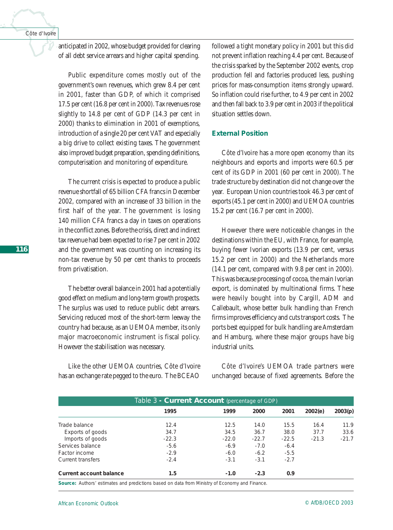anticipated in 2002, whose budget provided for clearing of all debt service arrears and higher capital spending.

Public expenditure comes mostly out of the government's own revenues, which grew 8.4 per cent in 2001, faster than GDP, of which it comprised 17.5 per cent (16.8 per cent in 2000). Tax revenues rose slightly to 14.8 per cent of GDP (14.3 per cent in 2000) thanks to elimination in 2001 of exemptions, introduction of a single 20 per cent VAT and especially a big drive to collect existing taxes. The government also improved budget preparation, spending definitions, computerisation and monitoring of expenditure.

The current crisis is expected to produce a public revenue shortfall of 65 billion CFA francs in December 2002, compared with an increase of 33 billion in the first half of the year. The government is losing 140 million CFA francs a day in taxes on operations in the conflict zones. Before the crisis, direct and indirect tax revenue had been expected to rise 7 per cent in 2002 and the government was counting on increasing its non-tax revenue by 50 per cent thanks to proceeds from privatisation.

The better overall balance in 2001 had a potentially good effect on medium and long-term growth prospects. The surplus was used to reduce public debt arrears. Servicing reduced most of the short-term leeway the country had because, as an UEMOA member, its only major macroeconomic instrument is fiscal policy. However the stabilisation was necessary.

Like the other UEMOA countries, Côte d'Ivoire has an exchange rate pegged to the euro. The BCEAO

followed a tight monetary policy in 2001 but this did not prevent inflation reaching 4.4 per cent. Because of the crisis sparked by the September 2002 events, crop production fell and factories produced less, pushing prices for mass-consumption items strongly upward. So inflation could rise further, to 4.9 per cent in 2002 and then fall back to 3.9 per cent in 2003 if the political situation settles down.

### *External Position*

Côte d'Ivoire has a more open economy than its neighbours and exports and imports were 60.5 per cent of its GDP in 2001 (60 per cent in 2000). The trade structure by destination did not change over the year. European Union countries took 46.3 per cent of exports (45.1 per cent in 2000) and UEMOA countries 15.2 per cent (16.7 per cent in 2000).

However there were noticeable changes in the destinations within the EU, with France, for example, buying fewer Ivorian exports (13.9 per cent, versus 15.2 per cent in 2000) and the Netherlands more (14.1 per cent, compared with 9.8 per cent in 2000). This was because processing of cocoa, the main Ivorian export, is dominated by multinational firms. These were heavily bought into by Cargill, ADM and Callebault, whose better bulk handling than French firms improves efficiency and cuts transport costs. The ports best equipped for bulk handling are Amsterdam and Hamburg, where these major groups have big industrial units.

Côte d'Ivoire's UEMOA trade partners were unchanged because of fixed agreements. Before the

| Table 3 - <b>Current Account</b> (percentage of GDP) |         |         |         |         |         |         |  |
|------------------------------------------------------|---------|---------|---------|---------|---------|---------|--|
|                                                      | 1995    | 1999    | 2000    | 2001    | 2002(e) | 2003(p) |  |
| Trade balance                                        | 12.4    | 12.5    | 14.0    | 15.5    | 16.4    | 11.9    |  |
| Exports of goods                                     | 34.7    | 34.5    | 36.7    | 38.0    | 37.7    | 33.6    |  |
| Imports of goods                                     | $-22.3$ | $-22.0$ | $-22.7$ | $-22.5$ | $-21.3$ | $-21.7$ |  |
| Services balance                                     | $-5.6$  | $-6.9$  | $-7.0$  | $-6.4$  |         |         |  |
| Factor income                                        | $-2.9$  | $-6.0$  | $-6.2$  | $-5.5$  |         |         |  |
| <b>Current transfers</b>                             | $-2.4$  | $-3.1$  | $-3.1$  | $-2.7$  |         |         |  |
| <b>Current account balance</b>                       | 1.5     | $-1.0$  | $-2.3$  | 0.9     |         |         |  |

**Source:** Authors' estimates and predictions based on data from Ministry of Economy and Finance.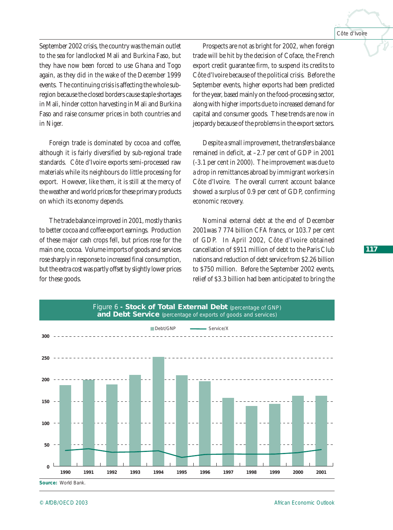September 2002 crisis, the country was the main outlet to the sea for landlocked Mali and Burkina Faso, but they have now been forced to use Ghana and Togo again, as they did in the wake of the December 1999 events. The continuing crisis is affecting the whole subregion because the closed borders cause staple shortages in Mali, hinder cotton harvesting in Mali and Burkina Faso and raise consumer prices in both countries and in Niger.

Foreign trade is dominated by cocoa and coffee, although it is fairly diversified by sub-regional trade standards. Côte d'Ivoire exports semi-processed raw materials while its neighbours do little processing for export. However, like them, it is still at the mercy of the weather and world prices for these primary products on which its economy depends.

The trade balance improved in 2001, mostly thanks to better cocoa and coffee export earnings. Production of these major cash crops fell, but prices rose for the main one, cocoa. Volume imports of goods and services rose sharply in response to increased final consumption, but the extra cost was partly offset by slightly lower prices for these goods.

Prospects are not as bright for 2002, when foreign trade will be hit by the decision of Coface, the French export credit guarantee firm, to suspend its credits to Côte d'Ivoire because of the political crisis. Before the September events, higher exports had been predicted for the year, based mainly on the food-processing sector, along with higher imports due to increased demand for capital and consumer goods. These trends are now in jeopardy because of the problems in the export sectors.

Despite a small improvement, the transfers balance remained in deficit, at –2.7 per cent of GDP in 2001 (-3.1 per cent in 2000). The improvement was due to a drop in remittances abroad by immigrant workers in Côte d'Ivoire. The overall current account balance showed a surplus of 0.9 per cent of GDP, confirming economic recovery.

Nominal external debt at the end of December 2001was 7 774 billion CFA francs, or 103.7 per cent of GDP. In April 2002, Côte d'Ivoire obtained cancellation of \$911 million of debt to the Paris Club nations and reduction of debt service from \$2.26 billion to \$750 million. Before the September 2002 events, relief of \$3.3 billion had been anticipated to bring the



**Source:** World Bank.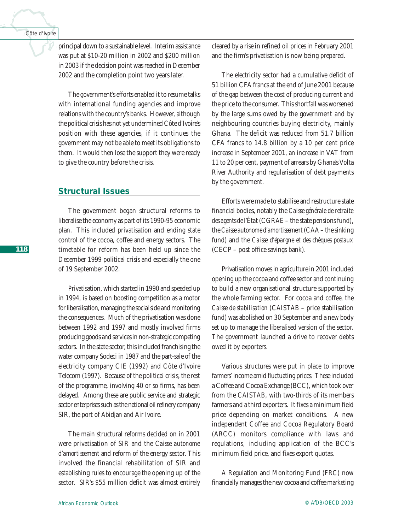principal down to a sustainable level. Interim assistance was put at \$10-20 million in 2002 and \$200 million in 2003 if the decision point was reached in December 2002 and the completion point two years later.

The government's efforts enabled it to resume talks with international funding agencies and improve relations with the country's banks. However, although the political crisis has not yet undermined Côte d'Ivoire's position with these agencies, if it continues the government may not be able to meet its obligations to them. It would then lose the support they were ready to give the country before the crisis.

# **Structural Issues**

The government began structural reforms to liberalise the economy as part of its 1990-95 economic plan. This included privatisation and ending state control of the cocoa, coffee and energy sectors. The timetable for reform has been held up since the December 1999 political crisis and especially the one of 19 September 2002.

Privatisation, which started in 1990 and speeded up in 1994, is based on boosting competition as a motor for liberalisation, managing the social side and monitoring the consequences. Much of the privatisation was done between 1992 and 1997 and mostly involved firms producing goods and services in non-strategic competing sectors. In the state sector, this included franchising the water company Sodeci in 1987 and the part-sale of the electricity company CIE (1992) and Côte d'Ivoire Telecom (1997). Because of the political crisis, the rest of the programme, involving 40 or so firms, has been delayed. Among these are public service and strategic sector enterprises such as the national oil refinery company SIR, the port of Abidjan and Air Ivoire.

The main structural reforms decided on in 2001 were privatisation of SIR and the *Caisse autonome d'amortissement* and reform of the energy sector. This involved the financial rehabilitation of SIR and establishing rules to encourage the opening up of the sector. SIR's \$55 million deficit was almost entirely

cleared by a rise in refined oil prices in February 2001 and the firm's privatisation is now being prepared.

The electricity sector had a cumulative deficit of 51 billion CFA francs at the end of June 2001 because of the gap between the cost of producing current and the price to the consumer. This shortfall was worsened by the large sums owed by the government and by neighbouring countries buying electricity, mainly Ghana. The deficit was reduced from 51.7 billion CFA francs to 14.8 billion by a 10 per cent price increase in September 2001, an increase in VAT from 11 to 20 per cent, payment of arrears by Ghana's Volta River Authority and regularisation of debt payments by the government.

Efforts were made to stabilise and restructure state financial bodies, notably the *Caisse générale de retraite des agents de l'État* (CGRAE – the state pensions fund), the *Caisse autonome d'amortissement* (CAA – the sinking fund) and the *Caisse d'épargne et des chèques postaux* (CECP – post office savings bank).

Privatisation moves in agriculture in 2001 included opening up the cocoa and coffee sector and continuing to build a new organisational structure supported by the whole farming sector. For cocoa and coffee, the *Caisse de stabilisation* (CAISTAB – price stabilisation fund) was abolished on 30 September and a new body set up to manage the liberalised version of the sector. The government launched a drive to recover debts owed it by exporters.

Various structures were put in place to improve farmers' income amid fluctuating prices. These included a Coffee and Cocoa Exchange (BCC), which took over from the CAISTAB, with two-thirds of its members farmers and a third exporters. It fixes a minimum field price depending on market conditions. A new independent Coffee and Cocoa Regulatory Board (ARCC) monitors compliance with laws and regulations, including application of the BCC's minimum field price, and fixes export quotas.

A Regulation and Monitoring Fund (FRC) now financially manages the new cocoa and coffee marketing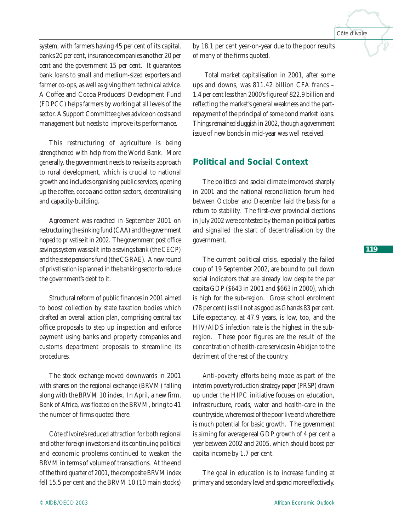system, with farmers having 45 per cent of its capital, banks 20 per cent, insurance companies another 20 per cent and the government 15 per cent. It guarantees bank loans to small and medium-sized exporters and farmer co-ops, as well as giving them technical advice. A Coffee and Cocoa Producers' Development Fund (FDPCC) helps farmers by working at all levels of the sector. A Support Committee gives advice on costs and management but needs to improve its performance.

This restructuring of agriculture is being strengthened with help from the World Bank. More generally, the government needs to revise its approach to rural development, which is crucial to national growth and includes organising public services, opening up the coffee, cocoa and cotton sectors, decentralising and capacity-building.

Agreement was reached in September 2001 on restructuring the sinking fund (CAA) and the government hoped to privatise it in 2002. The government post office savings system was split into a savings bank (the CECP) and the state pensions fund (the CGRAE). A new round of privatisation is planned in the banking sector to reduce the government's debt to it.

Structural reform of public finances in 2001 aimed to boost collection by state taxation bodies which drafted an overall action plan, comprising central tax office proposals to step up inspection and enforce payment using banks and property companies and customs department proposals to streamline its procedures.

The stock exchange moved downwards in 2001 with shares on the regional exchange (BRVM) falling along with the BRVM 10 index. In April, a new firm, Bank of Africa, was floated on the BRVM, bring to 41 the number of firms quoted there.

Côte d'Ivoire's reduced attraction for both regional and other foreign investors and its continuing political and economic problems continued to weaken the BRVM in terms of volume of transactions. At the end of the third quarter of 2001, the composite BRVM index fell 15.5 per cent and the BRVM 10 (10 main stocks)

by 18.1 per cent year-on-year due to the poor results of many of the firms quoted.

Total market capitalisation in 2001, after some ups and downs, was 811.42 billion CFA francs – 1.4 per cent less than 2000's figure of 822.9 billion and reflecting the market's general weakness and the partrepayment of the principal of some bond market loans. Things remained sluggish in 2002, though a government issue of new bonds in mid-year was well received.

# **Political and Social Context**

The political and social climate improved sharply in 2001 and the national reconciliation forum held between October and December laid the basis for a return to stability. The first-ever provincial elections in July 2002 were contested by the main political parties and signalled the start of decentralisation by the government.

The current political crisis, especially the failed coup of 19 September 2002, are bound to pull down social indicators that are already low despite the per capita GDP (\$643 in 2001 and \$663 in 2000), which is high for the sub-region. Gross school enrolment (78 per cent) is still not as good as Ghana's 83 per cent. Life expectancy, at 47.9 years, is low, too, and the HIV/AIDS infection rate is the highest in the subregion. These poor figures are the result of the concentration of health-care services in Abidjan to the detriment of the rest of the country.

Anti-poverty efforts being made as part of the interim poverty reduction strategy paper (PRSP) drawn up under the HIPC initiative focuses on education, infrastructure, roads, water and health-care in the countryside, where most of the poor live and where there is much potential for basic growth. The government is aiming for average real GDP growth of 4 per cent a year between 2002 and 2005, which should boost per capita income by 1.7 per cent.

The goal in education is to increase funding at primary and secondary level and spend more effectively.